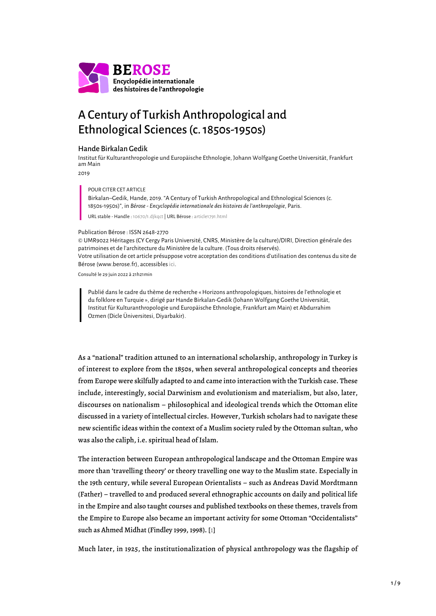

# A Century of Turkish Anthropological and Ethnological Sciences (c. 1850s-1950s)

## Hande Birkalan Gedik

Institut für Kulturanthropologie und Europäische Ethnologie, Johann Wolfgang Goethe Universität, Frankfurt am Main

2019

### POUR CITER CET ARTICLE

Birkalan–Gedik, Hande, 2019. "A Century of Turkish Anthropological and Ethnological Sciences (c. 1850s-1950s)", in *Bérose - Encyclopédie internationale des histoires de l'anthropologie*, Paris.

URL stable - Handle : [10670/1.djkqct](https://hdl.handle.net/10670/1.djkqct) | URL Bérose : [article1791.html](https://www.berose.fr/article1791.html)

#### Publication Bérose : ISSN 2648-2770

© UMR9022 Héritages (CY Cergy Paris Université, CNRS, Ministère de la culture)/DIRI, Direction générale des patrimoines et de l'architecture du Ministère de la culture. (Tous droits réservés). Votre utilisation de cet article présuppose votre acceptation des conditions d'utilisation des contenus du site de Bérose (www.berose.fr), accessibles [ici.](http://www.berose.fr/?Credits-Copyright)

Consulté le 29 juin 2022 à 21h21min

Publié dans le cadre du thème de recherche « Horizons anthropologiques, histoires de l'ethnologie et du folklore en Turquie », dirigé par Hande Birkalan-Gedik (Johann Wolfgang Goethe Universität, Institut für Kulturanthropologie und Europäische Ethnologie, Frankfurt am Main) et Abdurrahim Ozmen (Dicle Üniversitesi, Diyarbakir).

As a "national" tradition attuned to an international scholarship, anthropology in Turkey is of interest to explore from the 1850s, when several anthropological concepts and theories from Europe were skilfully adapted to and came into interaction with the Turkish case. These include, interestingly, social Darwinism and evolutionism and materialism, but also, later, discourses on nationalism – philosophical and ideological trends which the Ottoman elite discussed in a variety of intellectual circles. However, Turkish scholars had to navigate these new scientific ideas within the context of a Muslim society ruled by the Ottoman sultan, who was also the caliph, i.e. spiritual head of Islam.

The interaction between European anthropological landscape and the Ottoman Empire was more than 'travelling theory' or theory travelling one way to the Muslim state. Especially in the 19th century, while several European Orientalists – such as Andreas David Mordtmann (Father) – travelled to and produced several ethnographic accounts on daily and political life in the Empire and also taught courses and published textbooks on these themes, travels from the Empire to Europe also became an important activity for some Ottoman "Occidentalists" such as Ahmed Midhat (Findley 1999, 1998). [[1](#page-8-0)]

<span id="page-0-0"></span>Much later, in 1925, the institutionalization of physical anthropology was the flagship of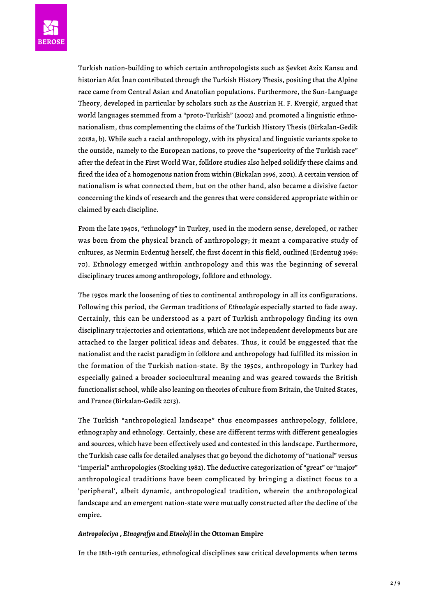

Turkish nation-building to which certain anthropologists such as Şevket Aziz Kansu and historian Afet İnan contributed through the Turkish History Thesis, positing that the Alpine race came from Central Asian and Anatolian populations. Furthermore, the Sun-Language Theory, developed in particular by scholars such as the Austrian H. F. Kvergić, argued that world languages stemmed from a "proto-Turkish" (2002) and promoted a linguistic ethnonationalism, thus complementing the claims of the Turkish History Thesis (Birkalan-Gedik 2018a, b). While such a racial anthropology, with its physical and linguistic variants spoke to the outside, namely to the European nations, to prove the "superiority of the Turkish race" after the defeat in the First World War, folklore studies also helped solidify these claims and fired the idea of a homogenous nation from within (Birkalan 1996, 2001). A certain version of nationalism is what connected them, but on the other hand, also became a divisive factor concerning the kinds of research and the genres that were considered appropriate within or claimed by each discipline.

From the late 1940s, "ethnology" in Turkey, used in the modern sense, developed, or rather was born from the physical branch of anthropology; it meant a comparative study of cultures, as Nermin Erdentuğ herself, the first docent in this field, outlined (Erdentuğ 1969: 70). Ethnology emerged within anthropology and this was the beginning of several disciplinary truces among anthropology, folklore and ethnology.

The 1950s mark the loosening of ties to continental anthropology in all its configurations. Following this period, the German traditions of *Ethnologie* especially started to fade away. Certainly, this can be understood as a part of Turkish anthropology finding its own disciplinary trajectories and orientations, which are not independent developments but are attached to the larger political ideas and debates. Thus, it could be suggested that the nationalist and the racist paradigm in folklore and anthropology had fulfilled its mission in the formation of the Turkish nation-state. By the 1950s, anthropology in Turkey had especially gained a broader sociocultural meaning and was geared towards the British functionalist school, while also leaning on theories of culture from Britain, the United States, and France (Birkalan-Gedik 2013).

The Turkish "anthropological landscape" thus encompasses anthropology, folklore, ethnography and ethnology. Certainly, these are different terms with different genealogies and sources, which have been effectively used and contested in this landscape. Furthermore, the Turkish case calls for detailed analyses that go beyond the dichotomy of "national" versus "imperial" anthropologies (Stocking 1982). The deductive categorization of "great" or "major" anthropological traditions have been complicated by bringing a distinct focus to a 'peripheral', albeit dynamic, anthropological tradition, wherein the anthropological landscape and an emergent nation-state were mutually constructed after the decline of the empire.

#### *Antropolociya* **,** *Etnografya* **and** *Etnoloji* **in the Ottoman Empire**

In the 18th-19th centuries, ethnological disciplines saw critical developments when terms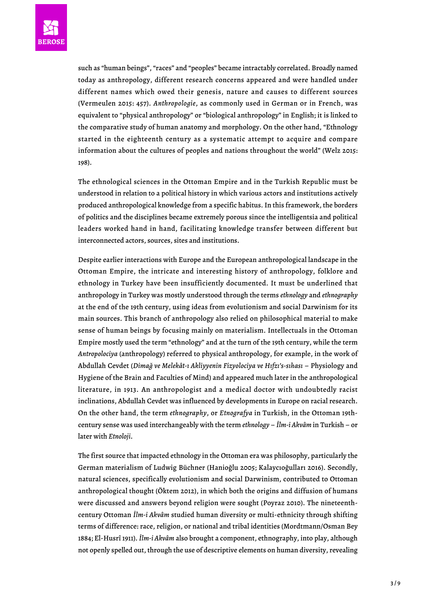

such as "human beings", "races" and "peoples" became intractably correlated. Broadly named today as anthropology, different research concerns appeared and were handled under different names which owed their genesis, nature and causes to different sources (Vermeulen 2015: 457). *Anthropologie*, as commonly used in German or in French, was equivalent to "physical anthropology" or "biological anthropology" in English; it is linked to the comparative study of human anatomy and morphology. On the other hand, "Ethnology started in the eighteenth century as a systematic attempt to acquire and compare information about the cultures of peoples and nations throughout the world" (Welz 2015: 198).

The ethnological sciences in the Ottoman Empire and in the Turkish Republic must be understood in relation to a political history in which various actors and institutions actively produced anthropological knowledge from a specific habitus. In this framework, the borders of politics and the disciplines became extremely porous since the intelligentsia and political leaders worked hand in hand, facilitating knowledge transfer between different but interconnected actors, sources, sites and institutions.

Despite earlier interactions with Europe and the European anthropological landscape in the Ottoman Empire, the intricate and interesting history of anthropology, folklore and ethnology in Turkey have been insufficiently documented. It must be underlined that anthropology in Turkey was mostly understood through the terms *ethnology* and *ethnography* at the end of the 19th century, using ideas from evolutionism and social Darwinism for its main sources. This branch of anthropology also relied on philosophical material to make sense of human beings by focusing mainly on materialism. Intellectuals in the Ottoman Empire mostly used the term "ethnology" and at the turn of the 19th century, while the term *Antropolociya* (anthropology) referred to physical anthropology, for example, in the work of Abdullah Cevdet (*Dimağ ve Melekât-ı Akliyyenin Fizyolociya ve Hıfzı's-sıhası* – Physiology and Hygiene of the Brain and Faculties of Mind) and appeared much later in the anthropological literature, in 1913. An anthropologist and a medical doctor with undoubtedly racist inclinations, Abdullah Cevdet was influenced by developments in Europe on racial research. On the other hand, the term *ethnography*, or *Etnografya* in Turkish, in the Ottoman 19thcentury sense was used interchangeably with the term *ethnology* – *İlm-i Akvâm* in Turkish – or later with *Etnoloji*.

The first source that impacted ethnology in the Ottoman era was philosophy, particularly the German materialism of Ludwig Büchner (Hanioğlu 2005; Kalaycıoğulları 2016). Secondly, natural sciences, specifically evolutionism and social Darwinism, contributed to Ottoman anthropological thought (Öktem 2012), in which both the origins and diffusion of humans were discussed and answers beyond religion were sought (Poyraz 2010). The nineteenthcentury Ottoman *İlm-i Akvâm* studied human diversity or multi-ethnicity through shifting terms of difference: race, religion, or national and tribal identities (Mordtmann/Osman Bey 1884; El-Husrî 1911). *İlm-i Akvâm* also brought a component, ethnography, into play, although not openly spelled out, through the use of descriptive elements on human diversity, revealing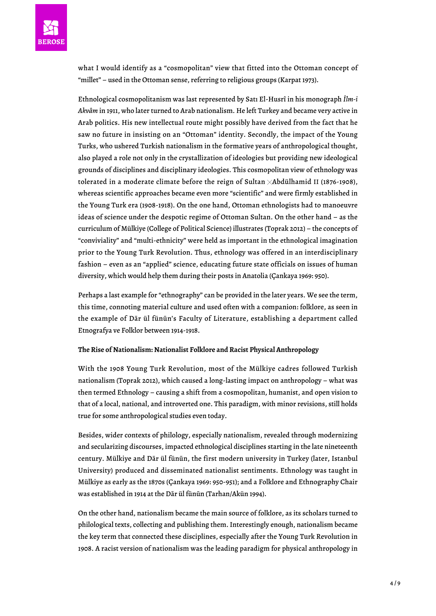

what I would identify as a "cosmopolitan" view that fitted into the Ottoman concept of "millet" – used in the Ottoman sense, referring to religious groups (Karpat 1973).

Ethnological cosmopolitanism was last represented by Satı El-Husrî in his monograph *İlm-i Akvâm* in 1911, who later turned to Arab nationalism. He left Turkey and became very active in Arab politics. His new intellectual route might possibly have derived from the fact that he saw no future in insisting on an "Ottoman" identity. Secondly, the impact of the Young Turks, who ushered Turkish nationalism in the formative years of anthropological thought, also played a role not only in the crystallization of ideologies but providing new ideological grounds of disciplines and disciplinary ideologies. This cosmopolitan view of ethnology was tolerated in a moderate climate before the reign of Sultan  $\times$ Abdülhamid II (1876-1908), whereas scientific approaches became even more "scientific" and were firmly established in the Young Turk era (1908-1918). On the one hand, Ottoman ethnologists had to manoeuvre ideas of science under the despotic regime of Ottoman Sultan. On the other hand – as the curriculum of Mülkiye (College of Political Science) illustrates (Toprak 2012) – the concepts of "conviviality" and "multi-ethnicity" were held as important in the ethnological imagination prior to the Young Turk Revolution. Thus, ethnology was offered in an interdisciplinary fashion – even as an "applied" science, educating future state officials on issues of human diversity, which would help them during their posts in Anatolia (Çankaya 1969: 950).

Perhaps a last example for "ethnography" can be provided in the later years. We see the term, this time, connoting material culture and used often with a companion: folklore, as seen in the example of Dār ül fünūn's Faculty of Literature, establishing a department called Etnografya ve Folklor between 1914-1918.

#### **The Rise of Nationalism: Nationalist Folklore and Racist Physical Anthropology**

With the 1908 Young Turk Revolution, most of the Mülkiye cadres followed Turkish nationalism (Toprak 2012), which caused a long-lasting impact on anthropology – what was then termed Ethnology – causing a shift from a cosmopolitan, humanist, and open vision to that of a local, national, and introverted one. This paradigm, with minor revisions, still holds true for some anthropological studies even today.

Besides, wider contexts of philology, especially nationalism, revealed through modernizing and secularizing discourses, impacted ethnological disciplines starting in the late nineteenth century. Mülkiye and Dār ül fünūn, the first modern university in Turkey (later, Istanbul University) produced and disseminated nationalist sentiments. Ethnology was taught in Mülkiye as early as the 1870s (Çankaya 1969: 950-951); and a Folklore and Ethnography Chair was established in 1914 at the Dār ül fünūn (Tarhan/Akün 1994).

On the other hand, nationalism became the main source of folklore, as its scholars turned to philological texts, collecting and publishing them. Interestingly enough, nationalism became the key term that connected these disciplines, especially after the Young Turk Revolution in 1908. A racist version of nationalism was the leading paradigm for physical anthropology in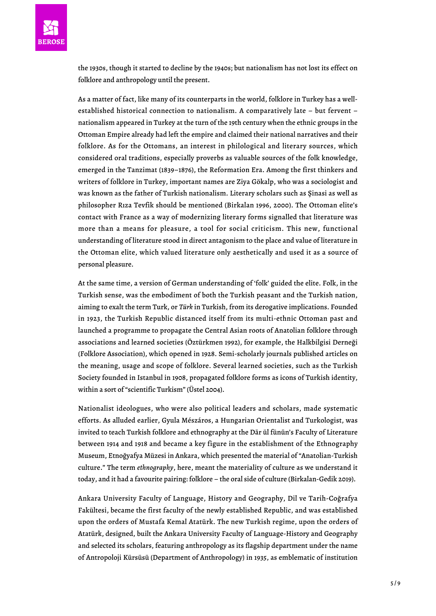

the 1930s, though it started to decline by the 1940s; but nationalism has not lost its effect on folklore and anthropology until the present.

As a matter of fact, like many of its counterparts in the world, folklore in Turkey has a wellestablished historical connection to nationalism. A comparatively late – but fervent – nationalism appeared in Turkey at the turn of the 19th century when the ethnic groups in the Ottoman Empire already had left the empire and claimed their national narratives and their folklore. As for the Ottomans, an interest in philological and literary sources, which considered oral traditions, especially proverbs as valuable sources of the folk knowledge, emerged in the Tanzimat (1839–1876), the Reformation Era. Among the first thinkers and writers of folklore in Turkey, important names are Ziya Gökalp, who was a sociologist and was known as the father of Turkish nationalism. Literary scholars such as Şinasi as well as philosopher Rıza Tevfik should be mentioned (Birkalan 1996, 2000). The Ottoman elite's contact with France as a way of modernizing literary forms signalled that literature was more than a means for pleasure, a tool for social criticism. This new, functional understanding of literature stood in direct antagonism to the place and value of literature in the Ottoman elite, which valued literature only aesthetically and used it as a source of personal pleasure.

At the same time, a version of German understanding of 'folk' guided the elite. Folk, in the Turkish sense, was the embodiment of both the Turkish peasant and the Turkish nation, aiming to exalt the term Turk, or *Türk* in Turkish, from its derogative implications. Founded in 1923, the Turkish Republic distanced itself from its multi-ethnic Ottoman past and launched a programme to propagate the Central Asian roots of Anatolian folklore through associations and learned societies (Öztürkmen 1992), for example, the Halkbilgisi Derneği (Folklore Association), which opened in 1928. Semi-scholarly journals published articles on the meaning, usage and scope of folklore. Several learned societies, such as the Turkish Society founded in Istanbul in 1908, propagated folklore forms as icons of Turkish identity, within a sort of "scientific Turkism" (Üstel 2004).

Nationalist ideologues, who were also political leaders and scholars, made systematic efforts. As alluded earlier, Gyula Mészáros, a Hungarian Orientalist and Turkologist, was invited to teach Turkish folklore and ethnography at the Dār ül fünūn's Faculty of Literature between 1914 and 1918 and became a key figure in the establishment of the Ethnography Museum, Etnoğyafya Müzesi in Ankara, which presented the material of "Anatolian-Turkish culture." The term *ethnography*, here, meant the materiality of culture as we understand it today, and it had a favourite pairing: folklore – the oral side of culture (Birkalan-Gedik 2019).

Ankara University Faculty of Language, History and Geography, Dil ve Tarih-Coğrafya Fakültesi, became the first faculty of the newly established Republic, and was established upon the orders of Mustafa Kemal Atatürk. The new Turkish regime, upon the orders of Atatürk, designed, built the Ankara University Faculty of Language-History and Geography and selected its scholars, featuring anthropology as its flagship department under the name of Antropoloji Kürsüsü (Department of Anthropology) in 1935, as emblematic of institution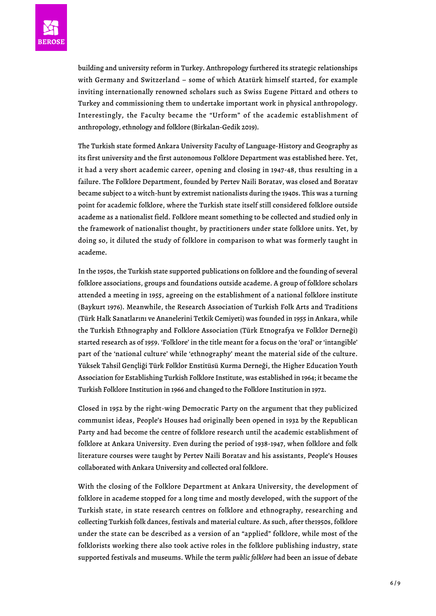

building and university reform in Turkey. Anthropology furthered its strategic relationships with Germany and Switzerland – some of which Atatürk himself started, for example inviting internationally renowned scholars such as Swiss Eugene Pittard and others to Turkey and commissioning them to undertake important work in physical anthropology. Interestingly, the Faculty became the "Urform" of the academic establishment of anthropology, ethnology and folklore (Birkalan-Gedik 2019).

The Turkish state formed Ankara University Faculty of Language-History and Geography as its first university and the first autonomous Folklore Department was established here. Yet, it had a very short academic career, opening and closing in 1947-48, thus resulting in a failure. The Folklore Department, founded by Pertev Naili Boratav, was closed and Boratav became subject to a witch-hunt by extremist nationalists during the 1940s. This was a turning point for academic folklore, where the Turkish state itself still considered folklore outside academe as a nationalist field. Folklore meant something to be collected and studied only in the framework of nationalist thought, by practitioners under state folklore units. Yet, by doing so, it diluted the study of folklore in comparison to what was formerly taught in academe.

In the 1950s, the Turkish state supported publications on folklore and the founding of several folklore associations, groups and foundations outside academe. A group of folklore scholars attended a meeting in 1955, agreeing on the establishment of a national folklore institute (Baykurt 1976). Meanwhile, the Research Association of Turkish Folk Arts and Traditions (Türk Halk Sanatlarını ve Ananelerini Tetkik Cemiyeti) was founded in 1955 in Ankara, while the Turkish Ethnography and Folklore Association (Türk Etnografya ve Folklor Derneği) started research as of 1959. 'Folklore' in the title meant for a focus on the 'oral' or 'intangible' part of the 'national culture' while 'ethnography' meant the material side of the culture. Yüksek Tahsil Gençliği Türk Folklor Enstitüsü Kurma Derneği, the Higher Education Youth Association for Establishing Turkish Folklore Institute, was established in 1964; it became the Turkish Folklore Institution in 1966 and changed to the Folklore Institution in 1972.

Closed in 1952 by the right-wing Democratic Party on the argument that they publicized communist ideas, People's Houses had originally been opened in 1932 by the Republican Party and had become the centre of folklore research until the academic establishment of folklore at Ankara University. Even during the period of 1938-1947, when folklore and folk literature courses were taught by Pertev Naili Boratav and his assistants, People's Houses collaborated with Ankara University and collected oral folklore.

With the closing of the Folklore Department at Ankara University, the development of folklore in academe stopped for a long time and mostly developed, with the support of the Turkish state, in state research centres on folklore and ethnography, researching and collecting Turkish folk dances, festivals and material culture. As such, after the1950s, folklore under the state can be described as a version of an "applied" folklore, while most of the folklorists working there also took active roles in the folklore publishing industry, state supported festivals and museums. While the term *public folklore* had been an issue of debate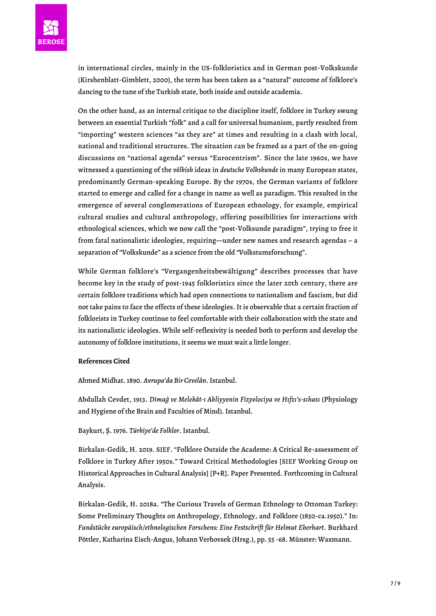

in international circles, mainly in the US-folkloristics and in German post-Volkskunde (Kirshenblatt-Gimblett, 2000), the term has been taken as a "natural" outcome of folklore's dancing to the tune of the Turkish state, both inside and outside academia.

On the other hand, as an internal critique to the discipline itself, folklore in Turkey swung between an essential Turkish "folk" and a call for universal humanism, partly resulted from "importing" western sciences "as they are" at times and resulting in a clash with local, national and traditional structures. The situation can be framed as a part of the on-going discussions on "national agenda" versus "Eurocentrism". Since the late 1960s, we have witnessed a questioning of the *völkish* ideas in *deutsche Volkskunde* in many European states, predominantly German-speaking Europe. By the 1970s, the German variants of folklore started to emerge and called for a change in name as well as paradigm. This resulted in the emergence of several conglomerations of European ethnology, for example, empirical cultural studies and cultural anthropology, offering possibilities for interactions with ethnological sciences, which we now call the "post-Volksunde paradigm", trying to free it from fatal nationalistic ideologies, requiring—under new names and research agendas – a separation of "Volkskunde" as a science from the old "Volkstumsforschung".

While German folklore's "Vergangenheitsbewältigung" describes processes that have become key in the study of post-1945 folkloristics since the later 20th century, there are certain folklore traditions which had open connections to nationalism and fascism, but did not take pains to face the effects of these ideologies. It is observable that a certain fraction of folklorists in Turkey continue to feel comfortable with their collaboration with the state and its nationalistic ideologies. While self-reflexivity is needed both to perform and develop the autonomy of folklore institutions, it seems we must wait a little longer.

# **References Cited**

Ahmed Midhat. 1890. *Avrupa'da Bir Cevelân*. Istanbul.

Abdullah Cevdet, 1913. *Dimağ ve Melekât-ı Akliyyenin Fizyolociya ve Hıfzı's-sıhası* (Physiology and Hygiene of the Brain and Faculties of Mind). Istanbul.

#### Baykurt, Ş. 1976. *Türkiye'de Folklor*. Istanbul.

Birkalan-Gedik, H. 2019. SIEF. "Folklore Outside the Academe: A Critical Re-assessment of Folklore in Turkey After 1950s." Toward Critical Methodologies [SIEF Working Group on Historical Approaches in Cultural Analysis] [P+R]. Paper Presented. Forthcoming in Cultural Analysis.

Birkalan-Gedik, H. 2018a. "The Curious Travels of German Ethnology to Ottoman Turkey: Some Preliminary Thoughts on Anthropology, Ethnology, and Folklore (1850-ca.1950)." In: *Fundstücke europäisch/ethnologischen Forschens: Eine Festschrift für Helmut Eberhart*. Burkhard Pöttler, Katharina Eisch-Angus, Johann Verhovsek (Hrsg.), pp. 55 -68. Münster: Waxmann.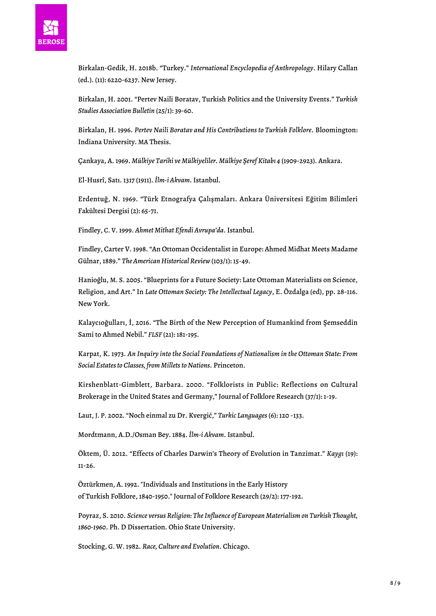

Birkalan-Gedik, H. 2018b. "Turkey." *International Encyclopedia of Anthropology*. Hilary Callan (ed.). (11): 6220-6237. New Jersey.

Birkalan, H. 2001. "Pertev Naili Boratav, Turkish Politics and the University Events." *Turkish Studies Association Bulletin* (25/1): 39-60.

Birkalan, H. 1996. *Pertev Naili Boratav and His Contributions to Turkish Folklore*. Bloomington: Indiana University. MA Thesis.

Çankaya, A. 1969. *Mülkiye Tarihi ve Mülkiyeliler. Mülkiye Şeref Kitabı 4* (1909-2923). Ankara.

El-Husrî, Satı. 1317 (1911). *İlm-i Akvam*. Istanbul.

Erdentuğ, N. 1969. "Türk Etnografya Çalışmaları. Ankara Üniversitesi Eğitim Bilimleri Fakültesi Dergisi (2): 65-71.

Findley, C. V. 1999. *Ahmet Mithat Efendi Avrupa'da*. Istanbul.

Findley, Carter V. 1998. "An Ottoman Occidentalist in Europe: Ahmed Midhat Meets Madame Gülnar, 1889." *The American Historical Review* (103/1): 15-49.

Hanioğlu, M. S. 2005. "Blueprints for a Future Society: Late Ottoman Materialists on Science, Religion, and Art." In *Late Ottoman Society: The Intellectual Legacy*, E. Özdalga (ed), pp. 28-116. New York.

Kalaycıoğulları, İ, 2016. "The Birth of the New Perception of Humankind from Şemseddin Sami to Ahmed Nebil." *FLSF* (21): 181-195.

Karpat, K. 1973. *An Inquiry into the Social Foundations of Nationalism in the Ottoman State: From Social Estates to Classes, from Millets to Nations*. Princeton.

Kirshenblatt-Gimblett, Barbara. 2000. "Folklorists in Public: Reflections on Cultural Brokerage in the United States and Germany," Journal of Folklore Research (37/1): 1-19.

Laut, J. P. 2002. "Noch einmal zu Dr. Kvergić," *Turkic Languages* (6): 120 -133.

Mordtmann, A.D./Osman Bey. 1884. *İlm-i Akvam*. Istanbul.

Öktem, Ü. 2012. "Effects of Charles Darwin's Theory of Evolution in Tanzimat." *Kaygı* (19): 11-26.

Öztürkmen, A. 1992. "Individuals and Institutions in the Early History of Turkish Folklore, 1840-1950." Journal of Folklore Research (29/2): 177-192.

Poyraz, S. 2010. *Science versus Religion: The Influence of European Materialism on Turkish Thought, 1860-1960*. Ph. D Dissertation. Ohio State University.

Stocking, G. W. 1982. *Race, Culture and Evolution*. Chicago.